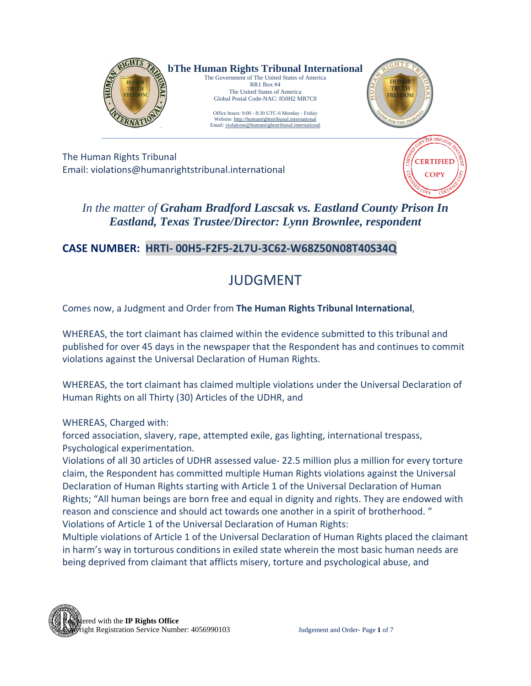

The Human Rights Tribunal Email: violations@humanrightstribunal.international



*In the matter of Graham Bradford Lascsak vs. Eastland County Prison In Eastland, Texas Trustee/Director: Lynn Brownlee, respondent*

## **CASE NUMBER: HRTI- 00H5-F2F5-2L7U-3C62-W68Z50N08T40S34Q**

# JUDGMENT

Comes now, a Judgment and Order from **The Human Rights Tribunal International**,

WHEREAS, the tort claimant has claimed within the evidence submitted to this tribunal and published for over 45 days in the newspaper that the Respondent has and continues to commit violations against the Universal Declaration of Human Rights.

WHEREAS, the tort claimant has claimed multiple violations under the Universal Declaration of Human Rights on all Thirty (30) Articles of the UDHR, and

WHEREAS, Charged with:

forced association, slavery, rape, attempted exile, gas lighting, international trespass, Psychological experimentation.

Violations of all 30 articles of UDHR assessed value- 22.5 million plus a million for every torture claim, the Respondent has committed multiple Human Rights violations against the Universal Declaration of Human Rights starting with Article 1 of the Universal Declaration of Human Rights; "All human beings are born free and equal in dignity and rights. They are endowed with reason and conscience and should act towards one another in a spirit of brotherhood. " Violations of Article 1 of the Universal Declaration of Human Rights:

Multiple violations of Article 1 of the Universal Declaration of Human Rights placed the claimant in harm's way in torturous conditions in exiled state wherein the most basic human needs are being deprived from claimant that afflicts misery, torture and psychological abuse, and

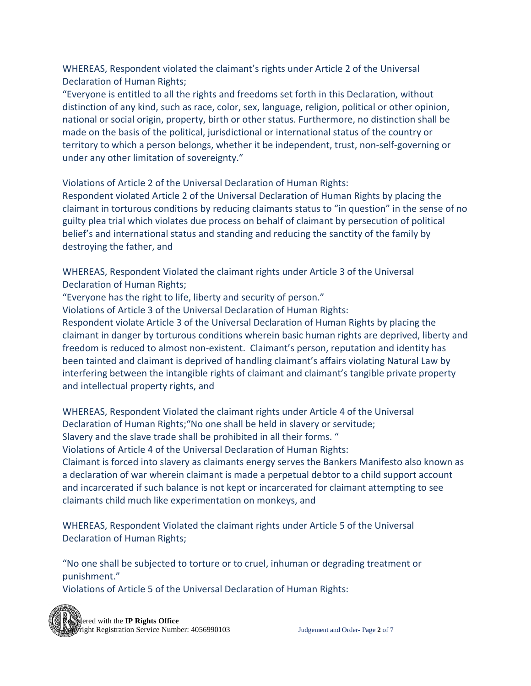WHEREAS, Respondent violated the claimant's rights under Article 2 of the Universal Declaration of Human Rights;

"Everyone is entitled to all the rights and freedoms set forth in this Declaration, without distinction of any kind, such as race, color, sex, language, religion, political or other opinion, national or social origin, property, birth or other status. Furthermore, no distinction shall be made on the basis of the political, jurisdictional or international status of the country or territory to which a person belongs, whether it be independent, trust, non-self-governing or under any other limitation of sovereignty."

Violations of Article 2 of the Universal Declaration of Human Rights:

Respondent violated Article 2 of the Universal Declaration of Human Rights by placing the claimant in torturous conditions by reducing claimants status to "in question" in the sense of no guilty plea trial which violates due process on behalf of claimant by persecution of political belief's and international status and standing and reducing the sanctity of the family by destroying the father, and

WHEREAS, Respondent Violated the claimant rights under Article 3 of the Universal Declaration of Human Rights;

"Everyone has the right to life, liberty and security of person."

Violations of Article 3 of the Universal Declaration of Human Rights:

Respondent violate Article 3 of the Universal Declaration of Human Rights by placing the claimant in danger by torturous conditions wherein basic human rights are deprived, liberty and freedom is reduced to almost non-existent. Claimant's person, reputation and identity has been tainted and claimant is deprived of handling claimant's affairs violating Natural Law by interfering between the intangible rights of claimant and claimant's tangible private property and intellectual property rights, and

WHEREAS, Respondent Violated the claimant rights under Article 4 of the Universal Declaration of Human Rights;"No one shall be held in slavery or servitude; Slavery and the slave trade shall be prohibited in all their forms. "

Violations of Article 4 of the Universal Declaration of Human Rights:

Claimant is forced into slavery as claimants energy serves the Bankers Manifesto also known as a declaration of war wherein claimant is made a perpetual debtor to a child support account and incarcerated if such balance is not kept or incarcerated for claimant attempting to see claimants child much like experimentation on monkeys, and

WHEREAS, Respondent Violated the claimant rights under Article 5 of the Universal Declaration of Human Rights;

"No one shall be subjected to torture or to cruel, inhuman or degrading treatment or punishment."

Violations of Article 5 of the Universal Declaration of Human Rights:

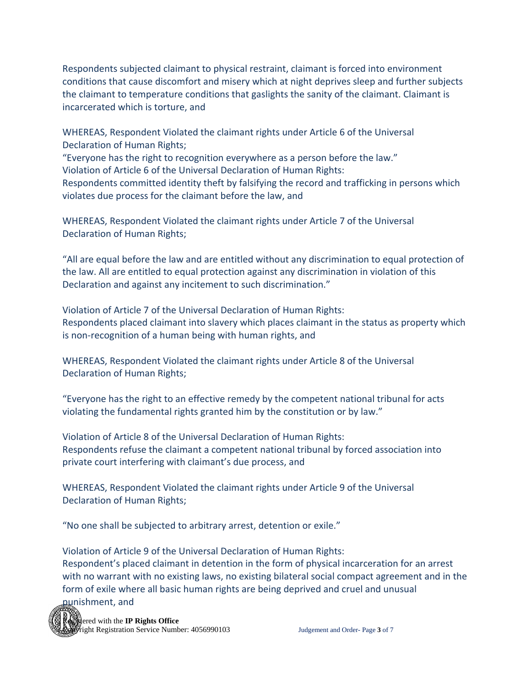Respondents subjected claimant to physical restraint, claimant is forced into environment conditions that cause discomfort and misery which at night deprives sleep and further subjects the claimant to temperature conditions that gaslights the sanity of the claimant. Claimant is incarcerated which is torture, and

WHEREAS, Respondent Violated the claimant rights under Article 6 of the Universal Declaration of Human Rights;

"Everyone has the right to recognition everywhere as a person before the law."

Violation of Article 6 of the Universal Declaration of Human Rights:

Respondents committed identity theft by falsifying the record and trafficking in persons which violates due process for the claimant before the law, and

WHEREAS, Respondent Violated the claimant rights under Article 7 of the Universal Declaration of Human Rights;

"All are equal before the law and are entitled without any discrimination to equal protection of the law. All are entitled to equal protection against any discrimination in violation of this Declaration and against any incitement to such discrimination."

Violation of Article 7 of the Universal Declaration of Human Rights: Respondents placed claimant into slavery which places claimant in the status as property which is non-recognition of a human being with human rights, and

WHEREAS, Respondent Violated the claimant rights under Article 8 of the Universal Declaration of Human Rights;

"Everyone has the right to an effective remedy by the competent national tribunal for acts violating the fundamental rights granted him by the constitution or by law."

Violation of Article 8 of the Universal Declaration of Human Rights: Respondents refuse the claimant a competent national tribunal by forced association into private court interfering with claimant's due process, and

WHEREAS, Respondent Violated the claimant rights under Article 9 of the Universal Declaration of Human Rights;

"No one shall be subjected to arbitrary arrest, detention or exile."

Violation of Article 9 of the Universal Declaration of Human Rights: Respondent's placed claimant in detention in the form of physical incarceration for an arrest with no warrant with no existing laws, no existing bilateral social compact agreement and in the form of exile where all basic human rights are being deprived and cruel and unusual punishment, and

**Registered with the IP Rights Office** Fight Registration Service Number: 4056990103 Judgement and Order- Page 3 of 7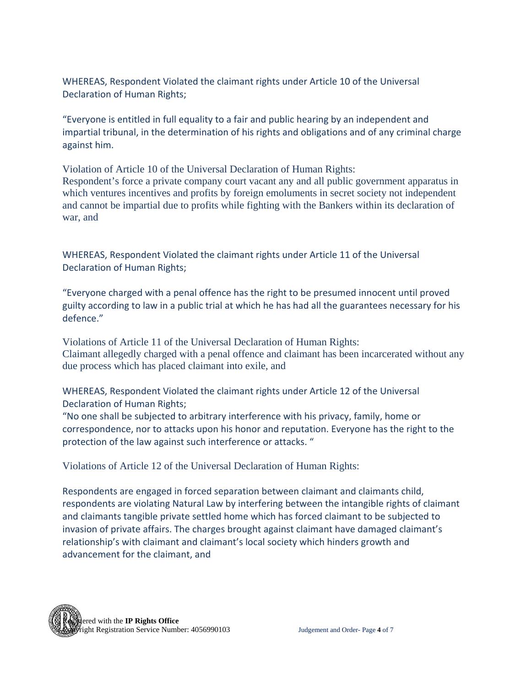WHEREAS, Respondent Violated the claimant rights under Article 10 of the Universal Declaration of Human Rights;

"Everyone is entitled in full equality to a fair and public hearing by an independent and impartial tribunal, in the determination of his rights and obligations and of any criminal charge against him.

Violation of Article 10 of the Universal Declaration of Human Rights: Respondent's force a private company court vacant any and all public government apparatus in which ventures incentives and profits by foreign emoluments in secret society not independent and cannot be impartial due to profits while fighting with the Bankers within its declaration of war, and

WHEREAS, Respondent Violated the claimant rights under Article 11 of the Universal Declaration of Human Rights;

"Everyone charged with a penal offence has the right to be presumed innocent until proved guilty according to law in a public trial at which he has had all the guarantees necessary for his defence."

Violations of Article 11 of the Universal Declaration of Human Rights: Claimant allegedly charged with a penal offence and claimant has been incarcerated without any due process which has placed claimant into exile, and

WHEREAS, Respondent Violated the claimant rights under Article 12 of the Universal Declaration of Human Rights;

"No one shall be subjected to arbitrary interference with his privacy, family, home or correspondence, nor to attacks upon his honor and reputation. Everyone has the right to the protection of the law against such interference or attacks. "

Violations of Article 12 of the Universal Declaration of Human Rights:

Respondents are engaged in forced separation between claimant and claimants child, respondents are violating Natural Law by interfering between the intangible rights of claimant and claimants tangible private settled home which has forced claimant to be subjected to invasion of private affairs. The charges brought against claimant have damaged claimant's relationship's with claimant and claimant's local society which hinders growth and advancement for the claimant, and

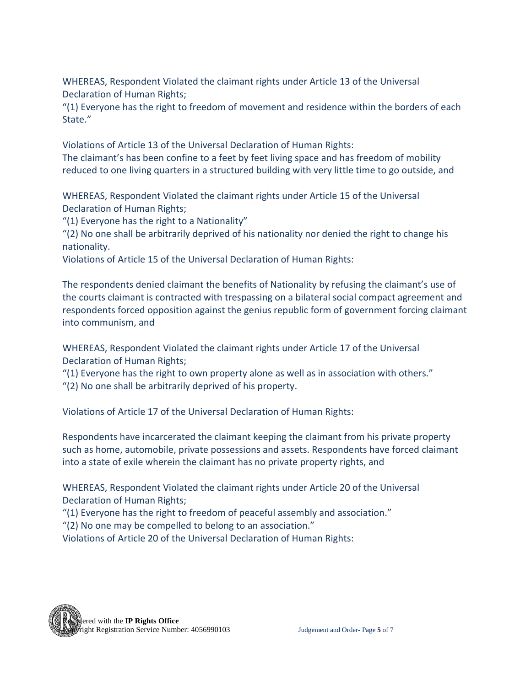WHEREAS, Respondent Violated the claimant rights under Article 13 of the Universal Declaration of Human Rights;

"(1) Everyone has the right to freedom of movement and residence within the borders of each State."

Violations of Article 13 of the Universal Declaration of Human Rights: The claimant's has been confine to a feet by feet living space and has freedom of mobility reduced to one living quarters in a structured building with very little time to go outside, and

WHEREAS, Respondent Violated the claimant rights under Article 15 of the Universal Declaration of Human Rights;

"(1) Everyone has the right to a Nationality"

"(2) No one shall be arbitrarily deprived of his nationality nor denied the right to change his nationality.

Violations of Article 15 of the Universal Declaration of Human Rights:

The respondents denied claimant the benefits of Nationality by refusing the claimant's use of the courts claimant is contracted with trespassing on a bilateral social compact agreement and respondents forced opposition against the genius republic form of government forcing claimant into communism, and

WHEREAS, Respondent Violated the claimant rights under Article 17 of the Universal Declaration of Human Rights;

"(1) Everyone has the right to own property alone as well as in association with others."

"(2) No one shall be arbitrarily deprived of his property.

Violations of Article 17 of the Universal Declaration of Human Rights:

Respondents have incarcerated the claimant keeping the claimant from his private property such as home, automobile, private possessions and assets. Respondents have forced claimant into a state of exile wherein the claimant has no private property rights, and

WHEREAS, Respondent Violated the claimant rights under Article 20 of the Universal Declaration of Human Rights;

"(1) Everyone has the right to freedom of peaceful assembly and association."

"(2) No one may be compelled to belong to an association."

Violations of Article 20 of the Universal Declaration of Human Rights:

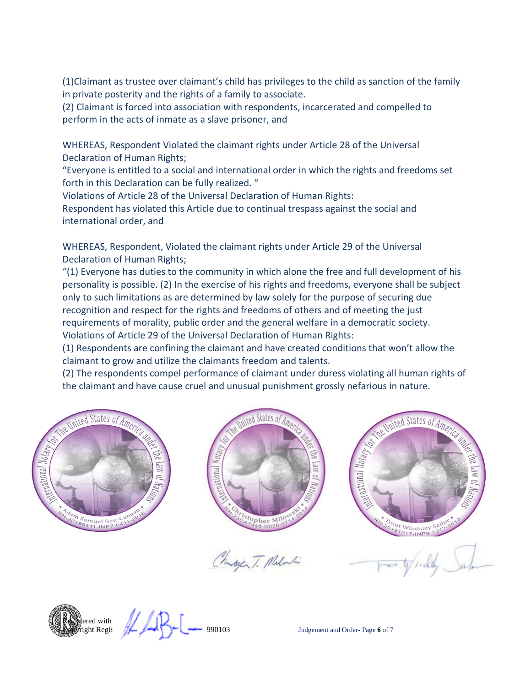(1)Claimant as trustee over claimant's child has privileges to the child as sanction of the family in private posterity and the rights of a family to associate.

(2) Claimant is forced into association with respondents, incarcerated and compelled to perform in the acts of inmate as a slave prisoner, and

WHEREAS, Respondent Violated the claimant rights under Article 28 of the Universal Declaration of Human Rights;

"Everyone is entitled to a social and international order in which the rights and freedoms set forth in this Declaration can be fully realized. "

Violations of Article 28 of the Universal Declaration of Human Rights:

Respondent has violated this Article due to continual trespass against the social and international order, and

WHEREAS, Respondent, Violated the claimant rights under Article 29 of the Universal Declaration of Human Rights;

"(1) Everyone has duties to the community in which alone the free and full development of his personality is possible. (2) In the exercise of his rights and freedoms, everyone shall be subject only to such limitations as are determined by law solely for the purpose of securing due recognition and respect for the rights and freedoms of others and of meeting the just requirements of morality, public order and the general welfare in a democratic society. Violations of Article 29 of the Universal Declaration of Human Rights:

(1) Respondents are confining the claimant and have created conditions that won't allow the claimant to grow and utilize the claimants freedom and talents.

(2) The respondents compel performance of claimant under duress violating all human rights of the claimant and have cause cruel and unusual punishment grossly nefarious in nature.





Mutger T. Miloli



**Registered with**  $\text{Regis}$ 

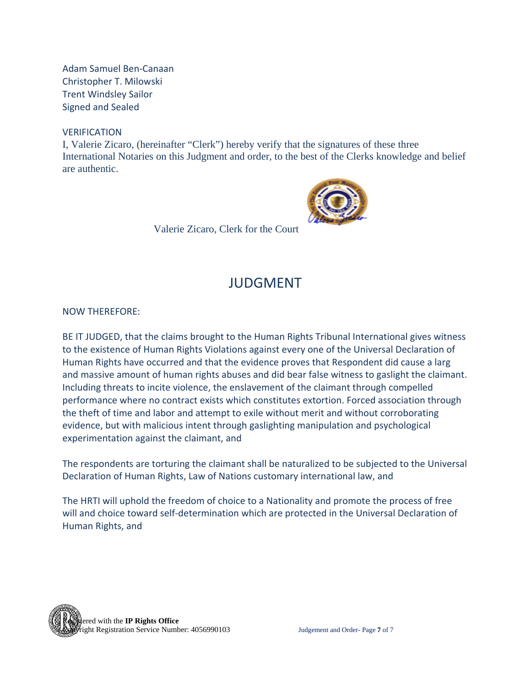Adam Samuel Ben-Canaan Christopher T. Milowski Trent Windsley Sailor Signed and Sealed

#### **VERIFICATION**

I, Valerie Zicaro, (hereinafter "Clerk") hereby verify that the signatures of these three International Notaries on this Judgment and order, to the best of the Clerks knowledge and belief are authentic.



Valerie Zicaro, Clerk for the Court

## JUDGMENT

NOW THEREFORE:

BE IT JUDGED, that the claims brought to the Human Rights Tribunal International gives witness to the existence of Human Rights Violations against every one of the Universal Declaration of Human Rights have occurred and that the evidence proves that Respondent did cause a larg and massive amount of human rights abuses and did bear false witness to gaslight the claimant. Including threats to incite violence, the enslavement of the claimant through compelled performance where no contract exists which constitutes extortion. Forced association through the theft of time and labor and attempt to exile without merit and without corroborating evidence, but with malicious intent through gaslighting manipulation and psychological experimentation against the claimant, and

The respondents are torturing the claimant shall be naturalized to be subjected to the Universal Declaration of Human Rights, Law of Nations customary international law, and

The HRTI will uphold the freedom of choice to a Nationality and promote the process of free will and choice toward self-determination which are protected in the Universal Declaration of Human Rights, and

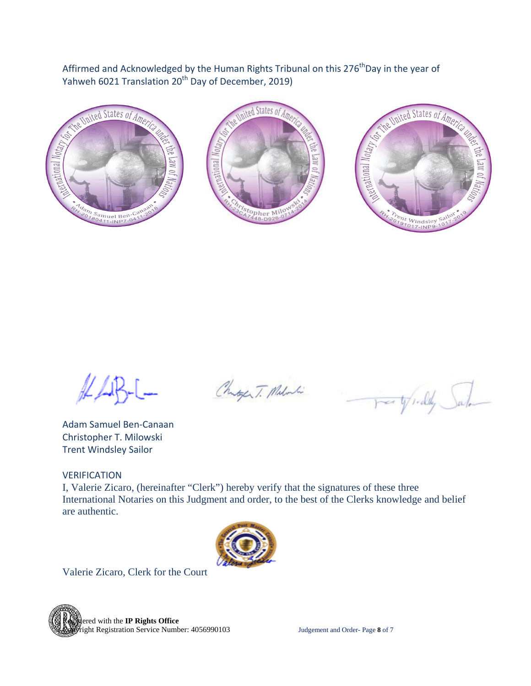Affirmed and Acknowledged by the Human Rights Tribunal on this 276<sup>th</sup>Day in the year of Yahweh 6021 Translation 20<sup>th</sup> Day of December, 2019)



Adam Samuel Ben-Canaan Christopher T. Milowski Trent Windsley Sailor

VERIFICATION

I, Valerie Zicaro, (hereinafter "Clerk") hereby verify that the signatures of these three International Notaries on this Judgment and order, to the best of the Clerks knowledge and belief are authentic.

Changer T. Milos



Valerie Zicaro, Clerk for the Court



For the field Sala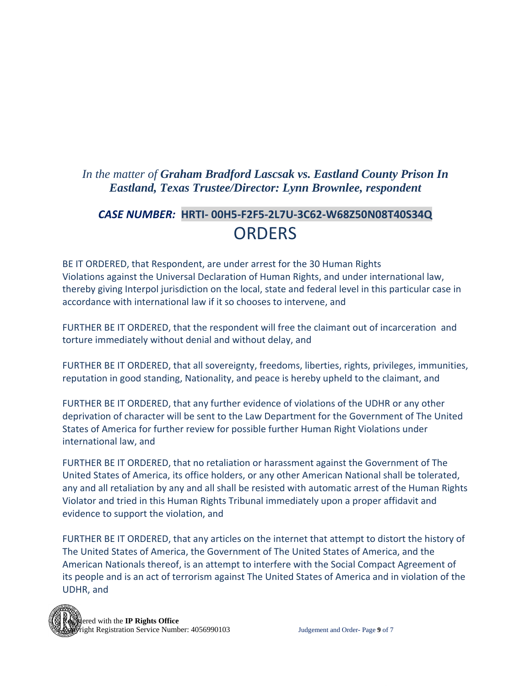## *In the matter of Graham Bradford Lascsak vs. Eastland County Prison In Eastland, Texas Trustee/Director: Lynn Brownlee, respondent*

# *CASE NUMBER:* **HRTI- 00H5-F2F5-2L7U-3C62-W68Z50N08T40S34Q** ORDERS

BE IT ORDERED, that Respondent, are under arrest for the 30 Human Rights Violations against the Universal Declaration of Human Rights, and under international law, thereby giving Interpol jurisdiction on the local, state and federal level in this particular case in accordance with international law if it so chooses to intervene, and

FURTHER BE IT ORDERED, that the respondent will free the claimant out of incarceration and torture immediately without denial and without delay, and

FURTHER BE IT ORDERED, that all sovereignty, freedoms, liberties, rights, privileges, immunities, reputation in good standing, Nationality, and peace is hereby upheld to the claimant, and

FURTHER BE IT ORDERED, that any further evidence of violations of the UDHR or any other deprivation of character will be sent to the Law Department for the Government of The United States of America for further review for possible further Human Right Violations under international law, and

FURTHER BE IT ORDERED, that no retaliation or harassment against the Government of The United States of America, its office holders, or any other American National shall be tolerated, any and all retaliation by any and all shall be resisted with automatic arrest of the Human Rights Violator and tried in this Human Rights Tribunal immediately upon a proper affidavit and evidence to support the violation, and

FURTHER BE IT ORDERED, that any articles on the internet that attempt to distort the history of The United States of America, the Government of The United States of America, and the American Nationals thereof, is an attempt to interfere with the Social Compact Agreement of its people and is an act of terrorism against The United States of America and in violation of the UDHR, and

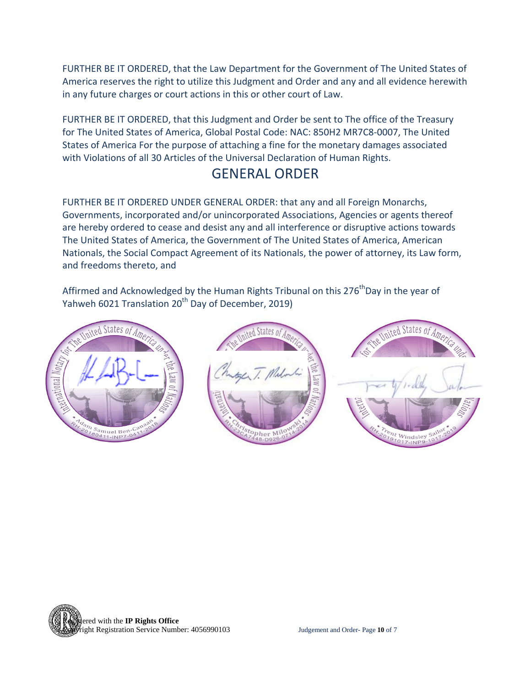FURTHER BE IT ORDERED, that the Law Department for the Government of The United States of America reserves the right to utilize this Judgment and Order and any and all evidence herewith in any future charges or court actions in this or other court of Law.

FURTHER BE IT ORDERED, that this Judgment and Order be sent to The office of the Treasury for The United States of America, Global Postal Code: NAC: 850H2 MR7C8-0007, The United States of America For the purpose of attaching a fine for the monetary damages associated with Violations of all 30 Articles of the Universal Declaration of Human Rights.

## GENERAL ORDER

FURTHER BE IT ORDERED UNDER GENERAL ORDER: that any and all Foreign Monarchs, Governments, incorporated and/or unincorporated Associations, Agencies or agents thereof are hereby ordered to cease and desist any and all interference or disruptive actions towards The United States of America, the Government of The United States of America, American Nationals, the Social Compact Agreement of its Nationals, the power of attorney, its Law form, and freedoms thereto, and

Affirmed and Acknowledged by the Human Rights Tribunal on this 276<sup>th</sup>Day in the year of Yahweh 6021 Translation 20<sup>th</sup> Day of December, 2019)



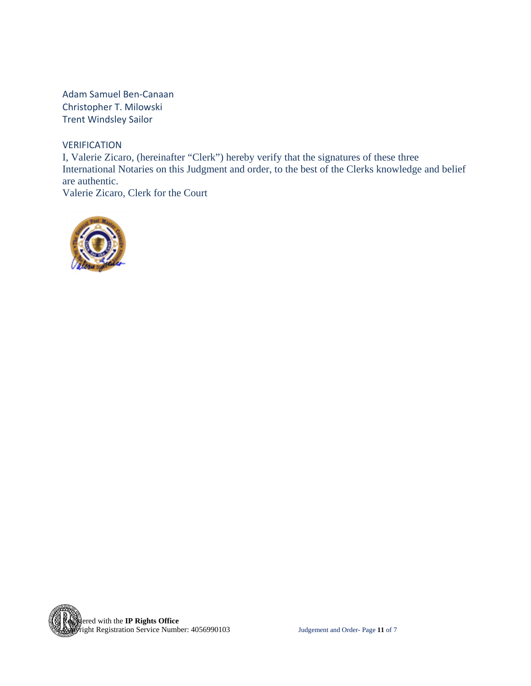Adam Samuel Ben-Canaan Christopher T. Milowski Trent Windsley Sailor

**VERIFICATION** 

I, Valerie Zicaro, (hereinafter "Clerk") hereby verify that the signatures of these three International Notaries on this Judgment and order, to the best of the Clerks knowledge and belief are authentic. Valerie Zicaro, Clerk for the Court